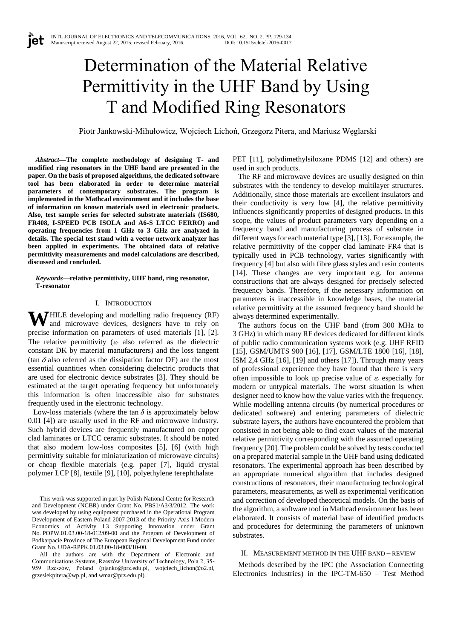# Determination of the Material Relative Permittivity in the UHF Band by Using T and Modified Ring Resonators

Piotr Jankowski-Mihułowicz, Wojciech Lichoń, Grzegorz Pitera, and Mariusz Węglarski

*Abstract***—The complete methodology of designing T- and modified ring resonators in the UHF band are presented in the paper. On the basis of proposed algorithms, the dedicated software tool has been elaborated in order to determine material parameters of contemporary substrates. The program is implemented in the Mathcad environment and it includes the base of information on known materials used in electronic products. Also, test sample series for selected substrate materials (IS680, FR408, I-SPEED PCB ISOLA and A6-S LTCC FERRO) and operating frequencies from 1 GHz to 3 GHz are analyzed in details. The special test stand with a vector network analyzer has been applied in experiments. The obtained data of relative permittivity measurements and model calculations are described, discussed and concluded.**

*Keywords***—relative permittivity, UHF band, ring resonator, T-resonator**

## I. INTRODUCTION

**WHILE** developing and modelling radio frequency (RF) and microwave devices, designers have to rely on and microwave devices, designers have to rely on precise information on parameters of used materials [1], [2]. The relative permittivity  $(\varepsilon_r$  also referred as the dielectric constant DK by material manufacturers) and the loss tangent (tan  $\delta$  also referred as the dissipation factor DF) are the most essential quantities when considering dielectric products that are used for electronic device substrates [3]. They should be estimated at the target operating frequency but unfortunately this information is often inaccessible also for substrates frequently used in the electronic technology.

Low-loss materials (where the tan  $\delta$  is approximately below 0.01 [4]) are usually used in the RF and microwave industry. Such hybrid devices are frequently manufactured on copper clad laminates or LTCC ceramic substrates. It should be noted that also modern low-loss composites [5], [6] (with high permittivity suitable for miniaturization of microwave circuits) or cheap flexible materials (e.g. paper [7], liquid crystal polymer LCP [8], textile [9], [10], polyethylene terephthalate

This work was supported in part by Polish National Centre for Research and Development (NCBR) under Grant No. PBS1/A3/3/2012. The work was developed by using equipment purchased in the Operational Program Development of Eastern Poland 2007-2013 of the Priority Axis I Modern Economics of Activity I.3 Supporting Innovation under Grant No. POPW.01.03.00-18-012/09-00 and the Program of Development of Podkarpacie Province of The European Regional Development Fund under Grant No. UDA-RPPK.01.03.00-18-003/10-00.

All the authors are with the Department of Electronic and Communications Systems, Rzeszów University of Technology, Pola 2, 35- 959 Rzeszów, Poland (pjanko@prz.edu.pl, wojciech\_lichon@o2.pl, grzesiekpitera@wp.pl, and wmar@prz.edu.pl).

PET [11], polydimethylsiloxane PDMS [12] and others) are used in such products.

The RF and microwave devices are usually designed on thin substrates with the tendency to develop multilayer structures. Additionally, since those materials are excellent insulators and their conductivity is very low [4], the relative permittivity influences significantly properties of designed products. In this scope, the values of product parameters vary depending on a frequency band and manufacturing process of substrate in different ways for each material type [3], [13]. For example, the relative permittivity of the copper clad laminate FR4 that is typically used in PCB technology, varies significantly with frequency [4] but also with fibre glass styles and resin contents [14]. These changes are very important e.g. for antenna constructions that are always designed for precisely selected frequency bands. Therefore, if the necessary information on parameters is inaccessible in knowledge bases, the material relative permittivity at the assumed frequency band should be always determined experimentally.

The authors focus on the UHF band (from 300 MHz to 3 GHz) in which many RF devices dedicated for different kinds of public radio communication systems work (e.g. UHF RFID [15], GSM/UMTS 900 [16], [17], GSM/LTE 1800 [16], [18], ISM 2,4 GHz [16], [19] and others [17]). Through many years of professional experience they have found that there is very often impossible to look up precise value of  $\varepsilon_r$  especially for modern or untypical materials. The worst situation is when designer need to know how the value varies with the frequency. While modelling antenna circuits (by numerical procedures or dedicated software) and entering parameters of dielectric substrate layers, the authors have encountered the problem that consisted in not being able to find exact values of the material relative permittivity corresponding with the assumed operating frequency [20]. The problem could be solved by tests conducted on a prepared material sample in the UHF band using dedicated resonators. The experimental approach has been described by an appropriate numerical algorithm that includes designed constructions of resonators, their manufacturing technological parameters, measurements, as well as experimental verification and correction of developed theoretical models. On the basis of the algorithm, a software tool in Mathcad environment has been elaborated. It consists of material base of identified products and procedures for determining the parameters of unknown substrates.

## II. MEASUREMENT METHOD IN THE UHF BAND – REVIEW

Methods described by the IPC (the Association Connecting Electronics Industries) in the IPC-TM-650 – Test Method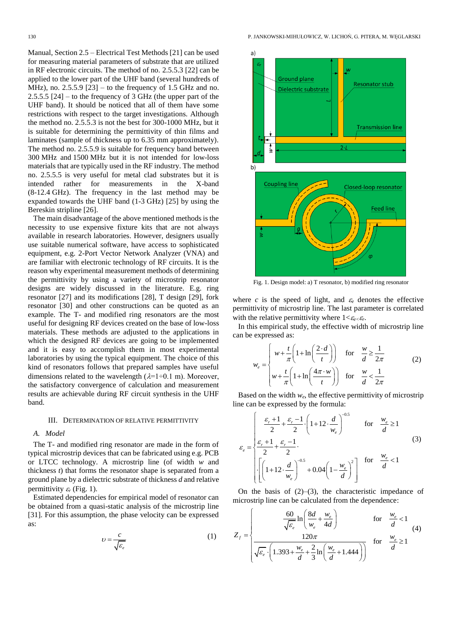Manual, Section 2.5 – Electrical Test Methods [21] can be used for measuring material parameters of substrate that are utilized in RF electronic circuits. The method of no. 2.5.5.3 [22] can be applied to the lower part of the UHF band (several hundreds of MHz), no.  $2.5.5.9$  [23] – to the frequency of 1.5 GHz and no. 2.5.5.5 [24] – to the frequency of 3 GHz (the upper part of the UHF band). It should be noticed that all of them have some restrictions with respect to the target investigations. Although the method no. 2.5.5.3 is not the best for 300-1000 MHz, but it is suitable for determining the permittivity of thin films and laminates (sample of thickness up to 6.35 mm approximately). The method no. 2.5.5.9 is suitable for frequency band between 300 MHz and 1500 MHz but it is not intended for low-loss materials that are typically used in the RF industry. The method no. 2.5.5.5 is very useful for metal clad substrates but it is intended rather for measurements in the X-band (8-12.4 GHz). The frequency in the last method may be expanded towards the UHF band (1-3 GHz) [25] by using the Bereskin stripline [26].

The main disadvantage of the above mentioned methods is the necessity to use expensive fixture kits that are not always available in research laboratories. However, designers usually use suitable numerical software, have access to sophisticated equipment, e.g. 2-Port Vector Network Analyzer (VNA) and are familiar with electronic technology of RF circuits. It is the reason why experimental measurement methods of determining the permittivity by using a variety of microstrip resonator designs are widely discussed in the literature. E.g. ring resonator [27] and its modifications [28], T design [29], fork resonator [30] and other constructions can be quoted as an example. The T- and modified ring resonators are the most useful for designing RF devices created on the base of low-loss materials. These methods are adjusted to the applications in which the designed RF devices are going to be implemented and it is easy to accomplish them in most experimental laboratories by using the typical equipment. The choice of this kind of resonators follows that prepared samples have useful dimensions related to the wavelength  $(\lambda=1+0.1 \text{ m})$ . Moreover, the satisfactory convergence of calculation and measurement results are achievable during RF circuit synthesis in the UHF band.

## III. DETERMINATION OF RELATIVE PERMITTIVITY

#### *A. Model*

The T- and modified ring resonator are made in the form of typical microstrip devices that can be fabricated using e.g. PCB or LTCC technology. A microstrip line (of width *w* and thickness *t*) that forms the resonator shape is separated from a ground plane by a dielectric substrate of thickness *d* and relative permittivity  $\varepsilon_r$  (Fig. 1).

Estimated dependencies for empirical model of resonator can be obtained from a quasi-static analysis of the microstrip line [31]. For this assumption, the phase velocity can be expressed as:

$$
v = \frac{c}{\sqrt{\varepsilon_e}}\tag{1}
$$



Fig. 1. Design model: a) T resonator, b) modified ring resonator

where  $c$  is the speed of light, and  $\varepsilon_e$  denotes the effective permittivity of microstrip line. The last parameter is correlated with the relative permittivity where  $1 < \varepsilon_e < \varepsilon_r$ .

In this empirical study, the effective width of microstrip line can be expressed as:

*w*

expressed as:  
\n
$$
v_e = \begin{cases}\n w + \frac{t}{\pi} \left( 1 + \ln \left( \frac{2 \cdot d}{t} \right) \right) & \text{for} \quad \frac{w}{d} \ge \frac{1}{2\pi} \\
 w + \frac{t}{\pi} \left( 1 + \ln \left( \frac{4\pi \cdot w}{t} \right) \right) & \text{for} \quad \frac{w}{d} < \frac{1}{2\pi}\n\end{cases}
$$
\n(2)

Based on the width  $w_e$ , the effective permittivity of microstrip

line can be expressed by the formula:  
\n
$$
\varepsilon_e = \begin{cases}\n\frac{\varepsilon_r + 1}{2} + \frac{\varepsilon_r - 1}{2} \cdot \left(1 + 12 \cdot \frac{d}{w_e}\right)^{-0.5} & \text{for } \frac{w_e}{d} \ge 1 \\
\frac{\varepsilon_r + 1}{2} + \frac{\varepsilon_r - 1}{2} \cdot \left[\frac{1 + 12 \cdot \frac{d}{w_e}\right]^{-0.5} + 0.04\left(1 - \frac{w_e}{d}\right)^2 & \text{for } \frac{w_e}{d} < 1 \\
\left[\left(1 + 12 \cdot \frac{d}{w_e}\right)^{-0.5} + 0.04\left(1 - \frac{w_e}{d}\right)^2\right] & \text{for } \frac{w_e}{d} < 1\n\end{cases}
$$
\n(3)

On the basis of  $(2)$ – $(3)$ , the characteristic impedance of

On the basis of (2)–(3), the characteristic impedance of  
microstrip line can be calculated from the dependence:  

$$
Z_{f} = \begin{cases} \frac{60}{\sqrt{\varepsilon_{e}}} \ln \left( \frac{8d}{w_{e}} + \frac{w_{e}}{4d} \right) & \text{for } \frac{w_{e}}{d} < 1\\ \frac{120\pi}{\sqrt{\varepsilon_{e}} \cdot \left( 1.393 + \frac{w_{e}}{d} + \frac{2}{3} \ln \left( \frac{w_{e}}{d} + 1.444 \right) \right)} & \text{for } \frac{w_{e}}{d} \ge 1 \end{cases}
$$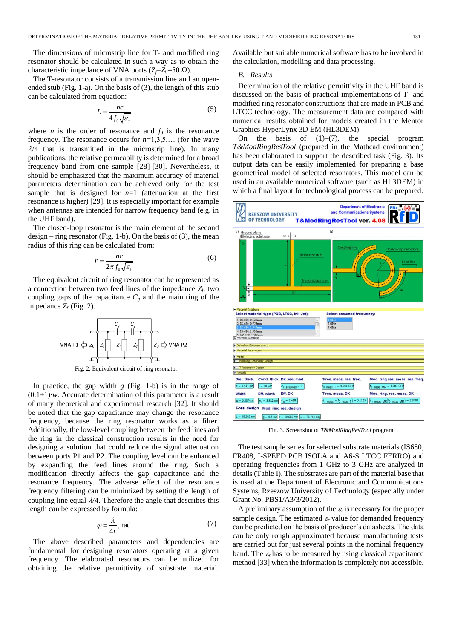The dimensions of microstrip line for T- and modified ring resonator should be calculated in such a way as to obtain the characteristic impedance of VNA ports ( $Z_f = Z_0 = 50 \Omega$ ).

The T-resonator consists of a transmission line and an openended stub (Fig. 1-a). On the basis of (3), the length of this stub can be calculated from equation:

$$
L = \frac{nc}{4f_0\sqrt{\varepsilon_e}}\tag{5}
$$

where *n* is the order of resonance and  $f_0$  is the resonance frequency. The resonance occurs for *n*=1,3,5,… (for the wave  $\lambda$ /4 that is transmitted in the microstrip line). In many publications, the relative permeability is determined for a broad frequency band from one sample [28]-[30]. Nevertheless, it should be emphasized that the maximum accuracy of material parameters determination can be achieved only for the test sample that is designed for  $n=1$  (attenuation at the first resonance is higher) [29]. It is especially important for example when antennas are intended for narrow frequency band (e.g. in the UHF band).

The closed-loop resonator is the main element of the second  $design - ring resonator$  (Fig. 1-b). On the basis of (3), the mean radius of this ring can be calculated from:

$$
r = \frac{nc}{2\pi f_0 \sqrt{\varepsilon_e}}\tag{6}
$$

The equivalent circuit of ring resonator can be represented as a connection between two feed lines of the impedance *Zf*, two coupling gaps of the capacitance  $C_g$  and the main ring of the impedance *Z<sup>r</sup>* (Fig. 2).



In practice, the gap width *g* (Fig. 1-b) is in the range of  $(0.1 \div 1)$ *·w.* Accurate determination of this parameter is a result of many theoretical and experimental research [32]. It should be noted that the gap capacitance may change the resonance frequency, because the ring resonator works as a filter. Additionally, the low-level coupling between the feed lines and the ring in the classical construction results in the need for designing a solution that could reduce the signal attenuation between ports P1 and P2. The coupling level can be enhanced by expanding the feed lines around the ring. Such a modification directly affects the gap capacitance and the resonance frequency. The adverse effect of the resonance frequency filtering can be minimized by setting the length of coupling line equal  $\lambda/4$ . Therefore the angle that describes this length can be expressed by formula:

$$
\varphi = \frac{\lambda}{4r}, \text{ rad} \tag{7}
$$

The above described parameters and dependencies are fundamental for designing resonators operating at a given frequency. The elaborated resonators can be utilized for obtaining the relative permittivity of substrate material.

Available but suitable numerical software has to be involved in the calculation, modelling and data processing.

### *B. Results*

Determination of the relative permittivity in the UHF band is discussed on the basis of practical implementations of T- and modified ring resonator constructions that are made in PCB and LTCC technology. The measurement data are compared with numerical results obtained for models created in the Mentor Graphics HyperLynx 3D EM (HL3DEM).

On the basis of  $(1)$ – $(7)$ , the special program *T&ModRingResTool* (prepared in the Mathcad environment) has been elaborated to support the described task (Fig. 3). Its output data can be easily implemented for preparing a base geometrical model of selected resonators. This model can be used in an available numerical software (such as HL3DEM) in which a final layout for technological process can be prepared.



Fig. 3. Screenshot of *T&ModRingResTool* program

The test sample series for selected substrate materials (IS680, FR408, I-SPEED PCB ISOLA and A6-S LTCC FERRO) and operating frequencies from 1 GHz to 3 GHz are analyzed in details (Table I). The substrates are part of the material base that is used at the Department of Electronic and Communications Systems, Rzeszow University of Technology (especially under Grant No. PBS1/A3/3/2012).

A preliminary assumption of the  $\varepsilon_r$  is necessary for the proper sample design. The estimated  $\varepsilon_r$  value for demanded frequency can be predicted on the basis of producer's datasheets. The data can be only rough approximated because manufacturing tests are carried out for just several points in the nominal frequency band. The  $\varepsilon_r$  has to be measured by using classical capacitance method [33] when the information is completely not accessible.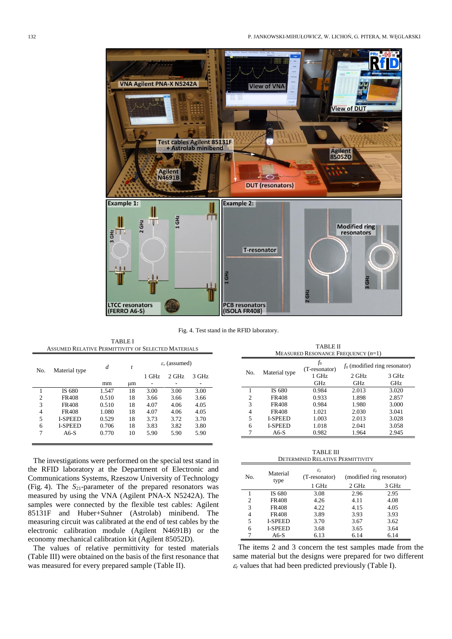

Fig. 4. Test stand in the RFID laboratory.

|                | ASSUMED RELATIVE PERMITTIVITY OF SELECTED MATERIALS |       |    |                           |         |       |  |  |  |
|----------------|-----------------------------------------------------|-------|----|---------------------------|---------|-------|--|--|--|
| No.            | Material type                                       | d     | t  | $\varepsilon_r$ (assumed) |         |       |  |  |  |
|                |                                                     |       |    | $1$ GHz                   | $2$ GHz | 3 GHz |  |  |  |
|                |                                                     | mm    | иm |                           |         |       |  |  |  |
|                | IS 680                                              | 1.547 | 18 | 3.00                      | 3.00    | 3.00  |  |  |  |
| $\overline{c}$ | <b>FR408</b>                                        | 0.510 | 18 | 3.66                      | 3.66    | 3.66  |  |  |  |
| 3              | <b>FR408</b>                                        | 0.510 | 18 | 4.07                      | 4.06    | 4.05  |  |  |  |
| $\overline{4}$ | <b>FR408</b>                                        | 1.080 | 18 | 4.07                      | 4.06    | 4.05  |  |  |  |
| 5              | <b>I-SPEED</b>                                      | 0.529 | 18 | 3.73                      | 3.72    | 3.70  |  |  |  |
| 6              | <b>I-SPEED</b>                                      | 0.706 | 18 | 3.83                      | 3.82    | 3.80  |  |  |  |
| 7              | A6-S                                                | 0.770 | 10 | 5.90                      | 5.90    | 5.90  |  |  |  |
|                |                                                     |       |    |                           |         |       |  |  |  |

TABLE I

The investigations were performed on the special test stand in the RFID laboratory at the Department of Electronic and Communications Systems, Rzeszow University of Technology (Fig. 4). The *S*21-parameter of the prepared resonators was measured by using the VNA (Agilent PNA-X N5242A). The samples were connected by the flexible test cables: Agilent 85131F and Huber+Suhner (Astrolab) minibend. The measuring circuit was calibrated at the end of test cables by the electronic calibration module (Agilent N4691B) or the economy mechanical calibration kit (Agilent 85052D).

The values of relative permittivity for tested materials (Table III) were obtained on the basis of the first resonance that was measured for every prepared sample (Table II).

MEASURED RESONANCE FREQUENCY (*n*=1) No. Material type *f*<sub>0</sub><br>(T-resonator)  $\frac{f_0}{f_0}$  (modified ring resonator)<br>1 GHz 2 GHz 3 GHz 2 GHz<br>GHz 3 GHz GHz GHz<br>0.984 2.013 1 IS 680 0.984 2.013 3.020 2 FR408 0.933 1.898 2.857<br>3 FR408 0.984 1.980 3.000 3 FR408 0.984 1.980 3.000 4 FR408 1.021 2.030 3.041 5 I-SPEED 1.003 2.013 3.028 6 I-SPEED 1.018 2.041 3.058 7 A6-S 0.982 1.964 2.945

TABLE II

TABLE III DETERMINED RELATIVE PERMITTIVITY

| No. | Material<br>type | $\varepsilon_r$<br>(T-resonator) | $\varepsilon_r$<br>(modified ring resonator) |       |
|-----|------------------|----------------------------------|----------------------------------------------|-------|
|     |                  | 1 GHz                            | 2 GHz                                        | 3 GHz |
|     | IS 680           | 3.08                             | 2.96                                         | 2.95  |
| 2   | <b>FR408</b>     | 4.26                             | 4.11                                         | 4.08  |
| 3   | <b>FR408</b>     | 4.22                             | 4.15                                         | 4.05  |
| 4   | <b>FR408</b>     | 3.89                             | 3.93                                         | 3.93  |
| 5   | <b>I-SPEED</b>   | 3.70                             | 3.67                                         | 3.62  |
| 6   | <b>I-SPEED</b>   | 3.68                             | 3.65                                         | 3.64  |
| 7   | $A6-S$           | 6.13                             | 6.14                                         | 6.14  |

The items 2 and 3 concern the test samples made from the same material but the designs were prepared for two different  $\epsilon_r$  values that had been predicted previously (Table I).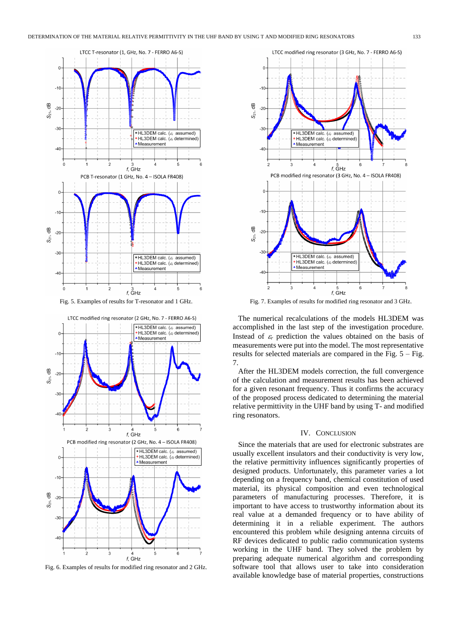

Fig. 5. Examples of results for T-resonator and 1 GHz.



Fig. 6. Examples of results for modified ring resonator and 2 GHz.



Fig. 7. Examples of results for modified ring resonator and 3 GHz.

The numerical recalculations of the models HL3DEM was accomplished in the last step of the investigation procedure. Instead of  $\varepsilon_r$  prediction the values obtained on the basis of measurements were put into the model. The most representative results for selected materials are compared in the Fig. 5 – Fig. 7.

After the HL3DEM models correction, the full convergence of the calculation and measurement results has been achieved for a given resonant frequency. Thus it confirms the accuracy of the proposed process dedicated to determining the material relative permittivity in the UHF band by using T- and modified ring resonators.

#### IV. CONCLUSION

Since the materials that are used for electronic substrates are usually excellent insulators and their conductivity is very low, the relative permittivity influences significantly properties of designed products. Unfortunately, this parameter varies a lot depending on a frequency band, chemical constitution of used material, its physical composition and even technological parameters of manufacturing processes. Therefore, it is important to have access to trustworthy information about its real value at a demanded frequency or to have ability of determining it in a reliable experiment. The authors encountered this problem while designing antenna circuits of RF devices dedicated to public radio communication systems working in the UHF band. They solved the problem by preparing adequate numerical algorithm and corresponding software tool that allows user to take into consideration available knowledge base of material properties, constructions